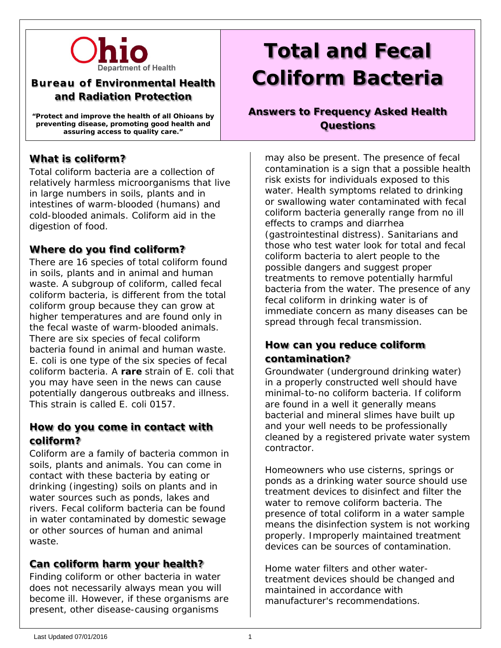

# **Bureau of Environmental Health and Radiation Protection**

**"Protect and improve the health of all Ohioans by preventing disease, promoting good health and assuring access to quality care."**

# **What is coliform?**

Total coliform bacteria are a collection of relatively harmless microorganisms that live in large numbers in soils, plants and in intestines of warm-blooded (humans) and cold-blooded animals. Coliform aid in the digestion of food.

### **Where do you find coliform?**

There are 16 species of total coliform found in soils, plants and in animal and human waste. A subgroup of coliform, called fecal coliform bacteria, is different from the total coliform group because they can grow at higher temperatures and are found only in the fecal waste of warm-blooded animals. There are six species of fecal coliform bacteria found in animal and human waste. *E. coli* is one type of the six species of fecal coliform bacteria. A **rare** strain of *E. coli* that you may have seen in the news can cause potentially dangerous outbreaks and illness. This strain is called *E. coli* 0157.

### **How do you come in contact with coliform?**

Coliform are a family of bacteria common in soils, plants and animals. You can come in contact with these bacteria by eating or drinking (ingesting) soils on plants and in water sources such as ponds, lakes and rivers. Fecal coliform bacteria can be found in water contaminated by domestic sewage or other sources of human and animal waste.

### **Can coliform harm your health?**

Finding coliform or other bacteria in water does not necessarily always mean you will become ill. However, if these organisms are present, other disease-causing organisms

# **Total and Fecal Coliform Bacteria**

### **Answers to Frequency Asked Health Questions**

may also be present. The presence of fecal contamination is a sign that a possible health risk exists for individuals exposed to this water. Health symptoms related to drinking or swallowing water contaminated with fecal coliform bacteria generally range from no ill effects to cramps and diarrhea (gastrointestinal distress). Sanitarians and those who test water look for total and fecal coliform bacteria to alert people to the possible dangers and suggest proper treatments to remove potentially harmful bacteria from the water. The presence of any fecal coliform in drinking water is of immediate concern as many diseases can be spread through fecal transmission.

# **How can you reduce coliform contamination?**

Groundwater (underground drinking water) in a properly constructed well should have minimal-to-no coliform bacteria. If coliform are found in a well it generally means bacterial and mineral slimes have built up and your well needs to be professionally cleaned by a registered private water system contractor.

Homeowners who use cisterns, springs or ponds as a drinking water source should use treatment devices to disinfect and filter the water to remove coliform bacteria. The presence of total coliform in a water sample means the disinfection system is not working properly. Improperly maintained treatment devices can be sources of contamination.

Home water filters and other watertreatment devices should be changed and maintained in accordance with manufacturer's recommendations.